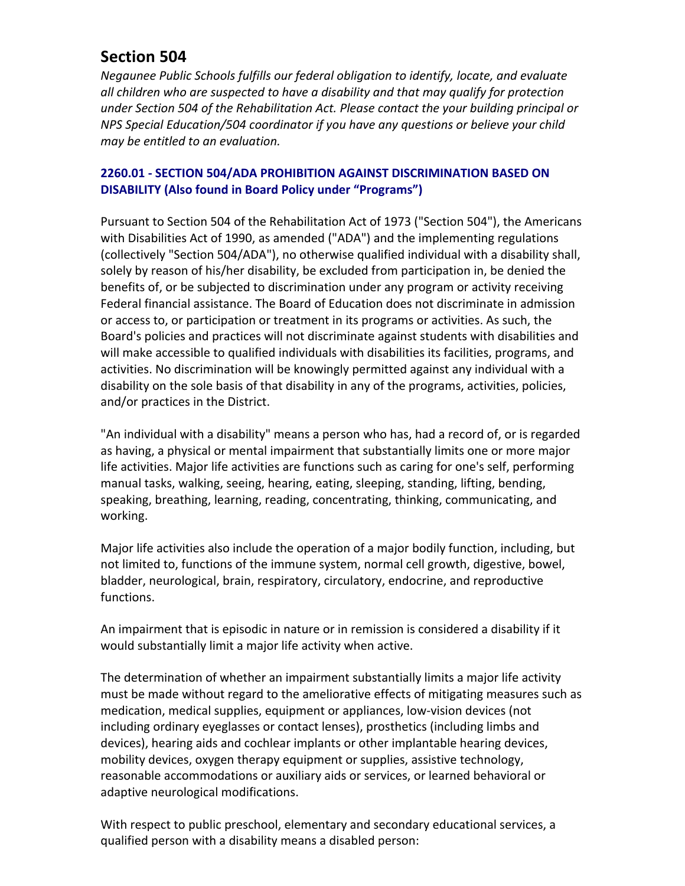## **Section 504**

*Negaunee Public Schools fulfills our federal obligation to identify, locate, and evaluate* all children who are suspected to have a disability and that may qualify for protection under Section 504 of the Rehabilitation Act. Please contact the your building principal or *NPS* Special Education/504 coordinator if you have any questions or believe your child *may be entitled to an evaluation.*

## **2260.01 - SECTION 504/ADA PROHIBITION AGAINST DISCRIMINATION BASED ON DISABILITY (Also found in Board Policy under "Programs")**

Pursuant to Section 504 of the Rehabilitation Act of 1973 ("Section 504"), the Americans with Disabilities Act of 1990, as amended ("ADA") and the implementing regulations (collectively "Section 504/ADA"), no otherwise qualified individual with a disability shall, solely by reason of his/her disability, be excluded from participation in, be denied the benefits of, or be subjected to discrimination under any program or activity receiving Federal financial assistance. The Board of Education does not discriminate in admission or access to, or participation or treatment in its programs or activities. As such, the Board's policies and practices will not discriminate against students with disabilities and will make accessible to qualified individuals with disabilities its facilities, programs, and activities. No discrimination will be knowingly permitted against any individual with a disability on the sole basis of that disability in any of the programs, activities, policies, and/or practices in the District.

"An individual with a disability" means a person who has, had a record of, or is regarded as having, a physical or mental impairment that substantially limits one or more major life activities. Major life activities are functions such as caring for one's self, performing manual tasks, walking, seeing, hearing, eating, sleeping, standing, lifting, bending, speaking, breathing, learning, reading, concentrating, thinking, communicating, and working.

Major life activities also include the operation of a major bodily function, including, but not limited to, functions of the immune system, normal cell growth, digestive, bowel, bladder, neurological, brain, respiratory, circulatory, endocrine, and reproductive functions.

An impairment that is episodic in nature or in remission is considered a disability if it would substantially limit a major life activity when active.

The determination of whether an impairment substantially limits a major life activity must be made without regard to the ameliorative effects of mitigating measures such as medication, medical supplies, equipment or appliances, low-vision devices (not including ordinary eyeglasses or contact lenses), prosthetics (including limbs and devices), hearing aids and cochlear implants or other implantable hearing devices, mobility devices, oxygen therapy equipment or supplies, assistive technology, reasonable accommodations or auxiliary aids or services, or learned behavioral or adaptive neurological modifications.

With respect to public preschool, elementary and secondary educational services, a qualified person with a disability means a disabled person: